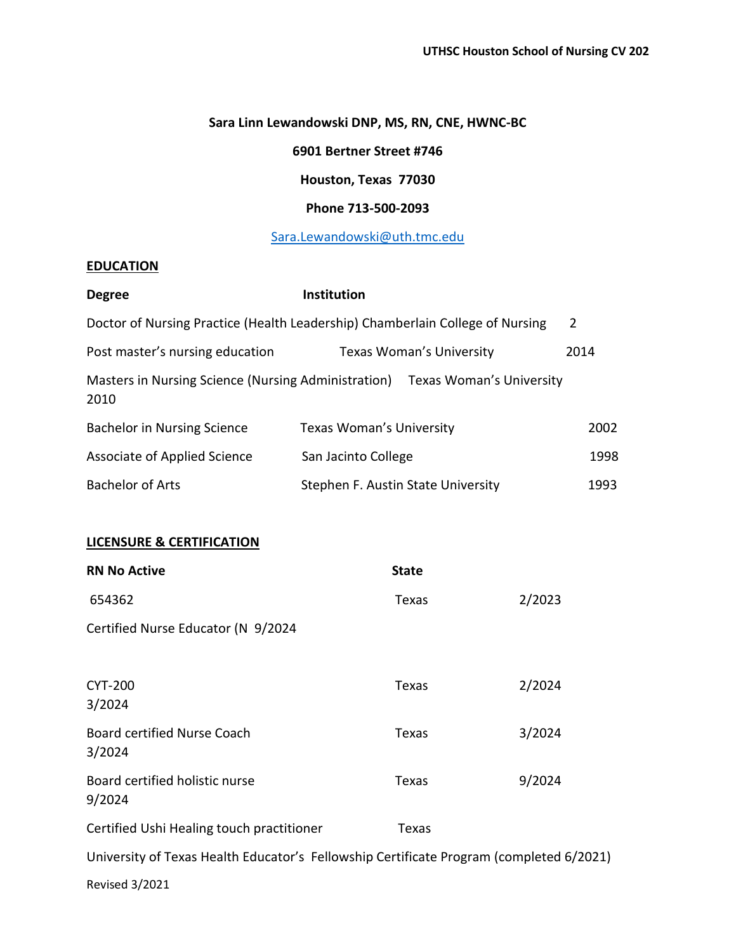# **Sara Linn Lewandowski DNP, MS, RN, CNE, HWNC-BC**

**6901 Bertner Street #746**

# **Houston, Texas 77030**

## **Phone 713-500-2093**

[Sara.Lewandowski@uth.tmc.edu](about:blank)

# **EDUCATION**

| <b>Degree</b>                                               | Institution                                                                   |                |
|-------------------------------------------------------------|-------------------------------------------------------------------------------|----------------|
|                                                             | Doctor of Nursing Practice (Health Leadership) Chamberlain College of Nursing | $\overline{2}$ |
| Post master's nursing education                             | <b>Texas Woman's University</b>                                               | 2014           |
| Masters in Nursing Science (Nursing Administration)<br>2010 | Texas Woman's University                                                      |                |
| Bachelor in Nursing Science                                 | Texas Woman's University                                                      | 2002           |
| Associate of Applied Science                                | San Jacinto College                                                           | 1998           |
| <b>Bachelor of Arts</b>                                     | Stephen F. Austin State University                                            | 1993           |

## **LICENSURE & CERTIFICATION**

| <b>RN No Active</b>                                                                     | <b>State</b> |        |
|-----------------------------------------------------------------------------------------|--------------|--------|
| 654362                                                                                  | <b>Texas</b> | 2/2023 |
| Certified Nurse Educator (N 9/2024                                                      |              |        |
|                                                                                         |              |        |
| <b>CYT-200</b><br>3/2024                                                                | Texas        | 2/2024 |
| <b>Board certified Nurse Coach</b><br>3/2024                                            | Texas        | 3/2024 |
| Board certified holistic nurse<br>9/2024                                                | Texas        | 9/2024 |
| Certified Ushi Healing touch practitioner                                               | Texas        |        |
| University of Texas Health Educator's Fellowship Certificate Program (completed 6/2021) |              |        |

Revised 3/2021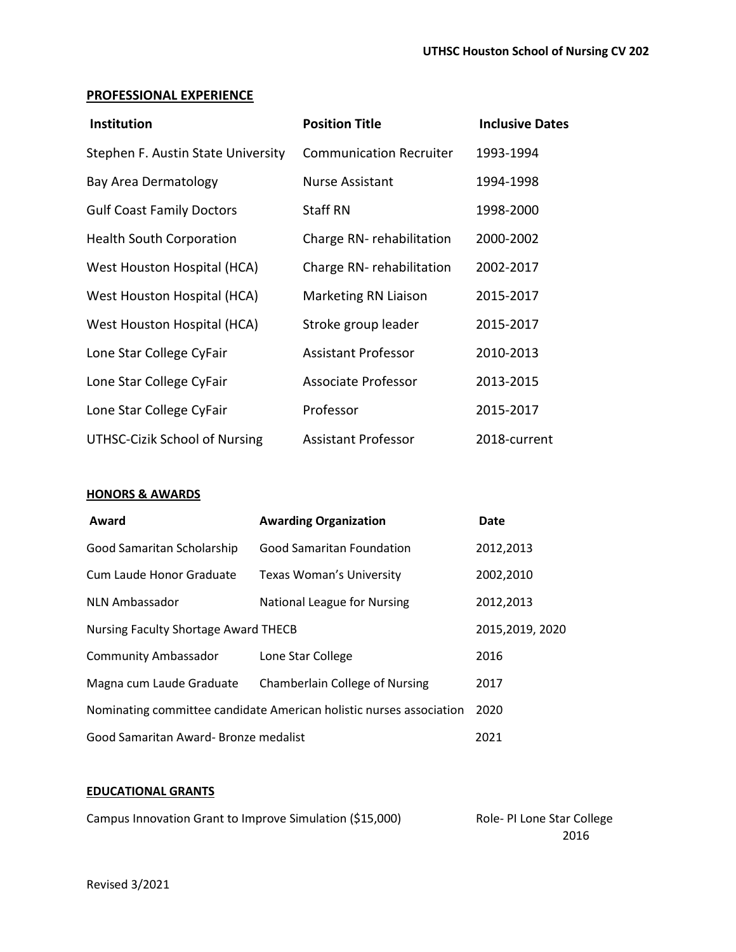### **PROFESSIONAL EXPERIENCE**

| Institution                        | <b>Position Title</b>          | <b>Inclusive Dates</b> |
|------------------------------------|--------------------------------|------------------------|
| Stephen F. Austin State University | <b>Communication Recruiter</b> | 1993-1994              |
| Bay Area Dermatology               | <b>Nurse Assistant</b>         | 1994-1998              |
| <b>Gulf Coast Family Doctors</b>   | Staff RN                       | 1998-2000              |
| <b>Health South Corporation</b>    | Charge RN-rehabilitation       | 2000-2002              |
| West Houston Hospital (HCA)        | Charge RN-rehabilitation       | 2002-2017              |
| West Houston Hospital (HCA)        | Marketing RN Liaison           | 2015-2017              |
| West Houston Hospital (HCA)        | Stroke group leader            | 2015-2017              |
| Lone Star College CyFair           | <b>Assistant Professor</b>     | 2010-2013              |
| Lone Star College CyFair           | Associate Professor            | 2013-2015              |
| Lone Star College CyFair           | Professor                      | 2015-2017              |
| UTHSC-Cizik School of Nursing      | <b>Assistant Professor</b>     | 2018-current           |

## **HONORS & AWARDS**

| Award                                                               | <b>Awarding Organization</b>          | <b>Date</b>     |
|---------------------------------------------------------------------|---------------------------------------|-----------------|
| Good Samaritan Scholarship                                          | <b>Good Samaritan Foundation</b>      | 2012,2013       |
| Cum Laude Honor Graduate                                            | <b>Texas Woman's University</b>       | 2002,2010       |
| <b>NLN Ambassador</b>                                               | National League for Nursing           | 2012,2013       |
| Nursing Faculty Shortage Award THECB                                |                                       | 2015,2019, 2020 |
| <b>Community Ambassador</b>                                         | Lone Star College                     | 2016            |
| Magna cum Laude Graduate                                            | <b>Chamberlain College of Nursing</b> | 2017            |
| Nominating committee candidate American holistic nurses association |                                       | 2020            |
| Good Samaritan Award- Bronze medalist                               |                                       | 2021            |

### **EDUCATIONAL GRANTS**

Role- PI Lone Star College 2016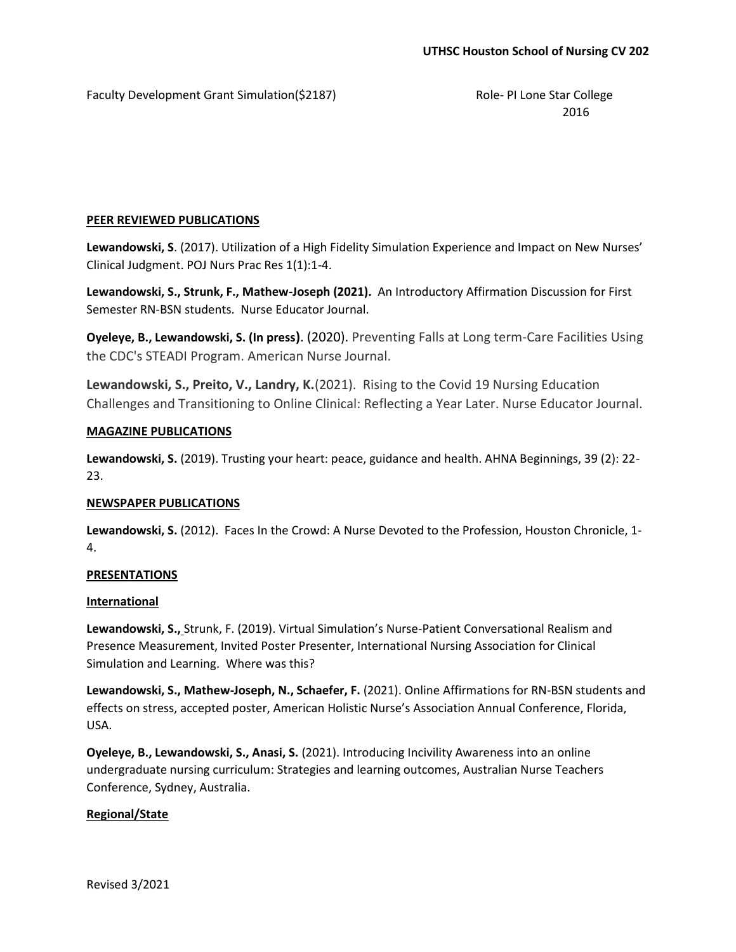Faculty Development Grant Simulation(\$2187) The Role- PI Lone Star College

2016

## **PEER REVIEWED PUBLICATIONS**

**Lewandowski, S**. (2017). Utilization of a High Fidelity Simulation Experience and Impact on New Nurses' Clinical Judgment. POJ Nurs Prac Res 1(1):1-4.

**Lewandowski, S., Strunk, F., Mathew-Joseph (2021).** An Introductory Affirmation Discussion for First Semester RN-BSN students. Nurse Educator Journal.

**Oyeleye, B., Lewandowski, S. (In press)**. (2020). Preventing Falls at Long term-Care Facilities Using the CDC's STEADI Program. American Nurse Journal.

**Lewandowski, S., Preito, V., Landry, K.**(2021). Rising to the Covid 19 Nursing Education Challenges and Transitioning to Online Clinical: Reflecting a Year Later. Nurse Educator Journal.

### **MAGAZINE PUBLICATIONS**

**Lewandowski, S.** (2019). Trusting your heart: peace, guidance and health. AHNA Beginnings, 39 (2): 22- 23.

#### **NEWSPAPER PUBLICATIONS**

**Lewandowski, S.** (2012). Faces In the Crowd: A Nurse Devoted to the Profession, Houston Chronicle, 1- 4.

#### **PRESENTATIONS**

#### **International**

**Lewandowski, S.,** Strunk, F. (2019). Virtual Simulation's Nurse-Patient Conversational Realism and Presence Measurement, Invited Poster Presenter, International Nursing Association for Clinical Simulation and Learning. Where was this?

**Lewandowski, S., Mathew-Joseph, N., Schaefer, F.** (2021). Online Affirmations for RN-BSN students and effects on stress, accepted poster, American Holistic Nurse's Association Annual Conference, Florida, USA.

**Oyeleye, B., Lewandowski, S., Anasi, S.** (2021). Introducing Incivility Awareness into an online undergraduate nursing curriculum: Strategies and learning outcomes, Australian Nurse Teachers Conference, Sydney, Australia.

## **Regional/State**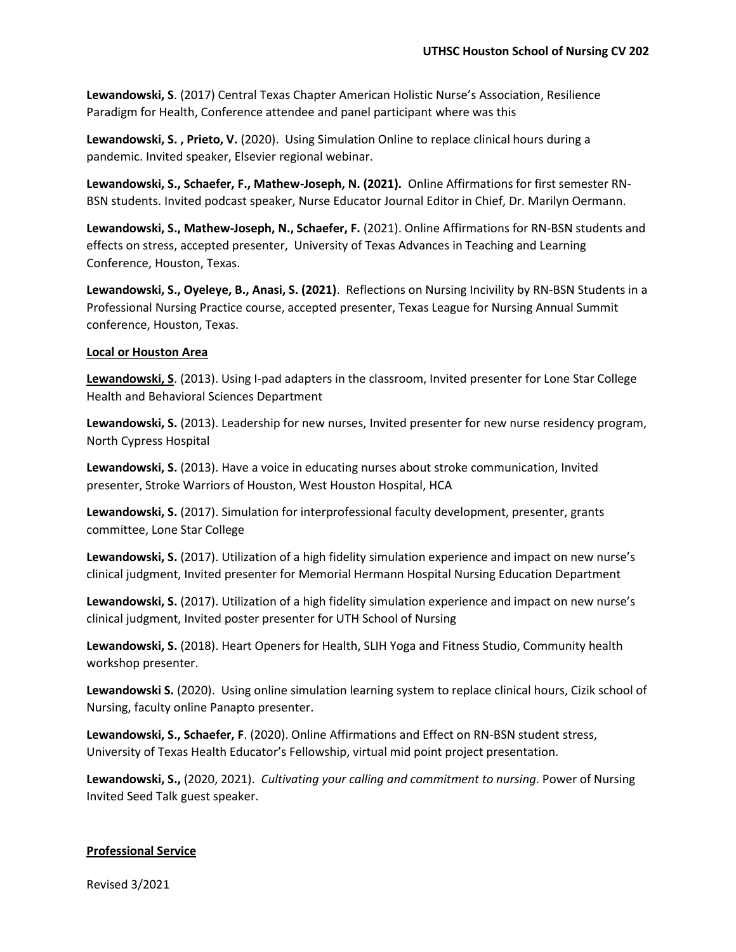**Lewandowski, S**. (2017) Central Texas Chapter American Holistic Nurse's Association, Resilience Paradigm for Health, Conference attendee and panel participant where was this

**Lewandowski, S. , Prieto, V.** (2020). Using Simulation Online to replace clinical hours during a pandemic. Invited speaker, Elsevier regional webinar.

**Lewandowski, S., Schaefer, F., Mathew-Joseph, N. (2021).** Online Affirmations for first semester RN-BSN students. Invited podcast speaker, Nurse Educator Journal Editor in Chief, Dr. Marilyn Oermann.

**Lewandowski, S., Mathew-Joseph, N., Schaefer, F.** (2021). Online Affirmations for RN-BSN students and effects on stress, accepted presenter, University of Texas Advances in Teaching and Learning Conference, Houston, Texas.

**Lewandowski, S., Oyeleye, B., Anasi, S. (2021)**. Reflections on Nursing Incivility by RN-BSN Students in a Professional Nursing Practice course, accepted presenter, Texas League for Nursing Annual Summit conference, Houston, Texas.

## **Local or Houston Area**

**Lewandowski, S**. (2013). Using I-pad adapters in the classroom, Invited presenter for Lone Star College Health and Behavioral Sciences Department

**Lewandowski, S.** (2013). Leadership for new nurses, Invited presenter for new nurse residency program, North Cypress Hospital

**Lewandowski, S.** (2013). Have a voice in educating nurses about stroke communication, Invited presenter, Stroke Warriors of Houston, West Houston Hospital, HCA

**Lewandowski, S.** (2017). Simulation for interprofessional faculty development, presenter, grants committee, Lone Star College

**Lewandowski, S.** (2017). Utilization of a high fidelity simulation experience and impact on new nurse's clinical judgment, Invited presenter for Memorial Hermann Hospital Nursing Education Department

**Lewandowski, S.** (2017). Utilization of a high fidelity simulation experience and impact on new nurse's clinical judgment, Invited poster presenter for UTH School of Nursing

**Lewandowski, S.** (2018). Heart Openers for Health, SLIH Yoga and Fitness Studio, Community health workshop presenter.

**Lewandowski S.** (2020). Using online simulation learning system to replace clinical hours, Cizik school of Nursing, faculty online Panapto presenter.

**Lewandowski, S., Schaefer, F**. (2020). Online Affirmations and Effect on RN-BSN student stress, University of Texas Health Educator's Fellowship, virtual mid point project presentation.

**Lewandowski, S.,** (2020, 2021). *Cultivating your calling and commitment to nursing*. Power of Nursing Invited Seed Talk guest speaker.

# **Professional Service**

Revised 3/2021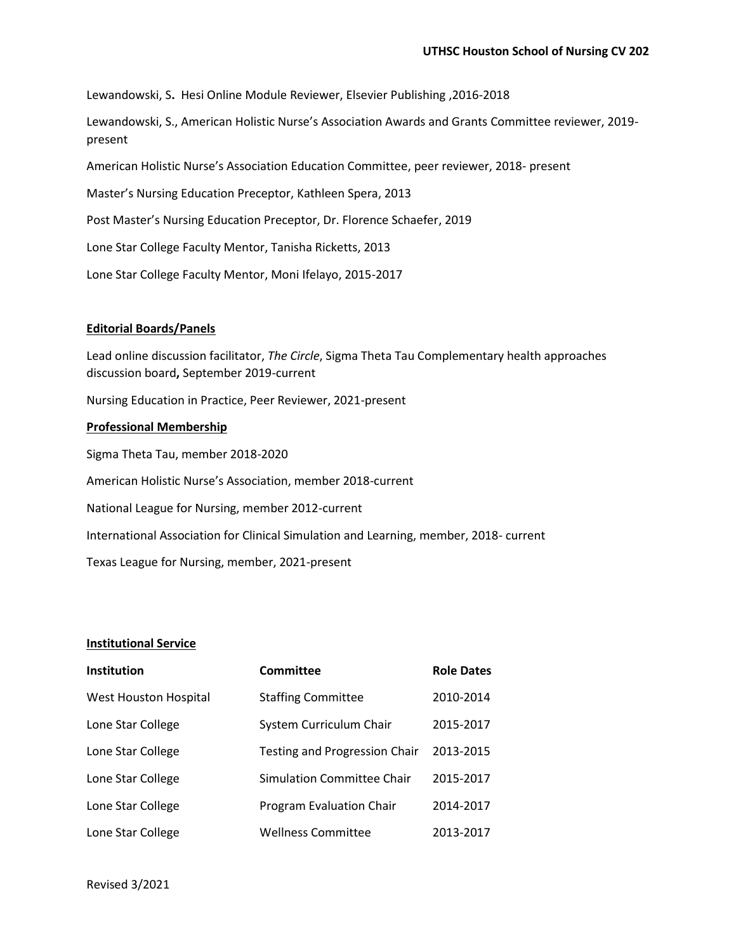Lewandowski, S**.** Hesi Online Module Reviewer, Elsevier Publishing ,2016-2018

Lewandowski, S., American Holistic Nurse's Association Awards and Grants Committee reviewer, 2019 present

American Holistic Nurse's Association Education Committee, peer reviewer, 2018- present

Master's Nursing Education Preceptor, Kathleen Spera, 2013

Post Master's Nursing Education Preceptor, Dr. Florence Schaefer, 2019

Lone Star College Faculty Mentor, Tanisha Ricketts, 2013

Lone Star College Faculty Mentor, Moni Ifelayo, 2015-2017

#### **Editorial Boards/Panels**

Lead online discussion facilitator, *The Circle*, Sigma Theta Tau Complementary health approaches discussion board**,** September 2019-current

Nursing Education in Practice, Peer Reviewer, 2021-present

#### **Professional Membership**

Sigma Theta Tau, member 2018-2020 American Holistic Nurse's Association, member 2018-current National League for Nursing, member 2012-current International Association for Clinical Simulation and Learning, member, 2018- current Texas League for Nursing, member, 2021-present

#### **Institutional Service**

| <b>Institution</b>    | <b>Committee</b>              | <b>Role Dates</b> |
|-----------------------|-------------------------------|-------------------|
| West Houston Hospital | <b>Staffing Committee</b>     | 2010-2014         |
| Lone Star College     | System Curriculum Chair       | 2015-2017         |
| Lone Star College     | Testing and Progression Chair | 2013-2015         |
| Lone Star College     | Simulation Committee Chair    | 2015-2017         |
| Lone Star College     | Program Evaluation Chair      | 2014-2017         |
| Lone Star College     | Wellness Committee            | 2013-2017         |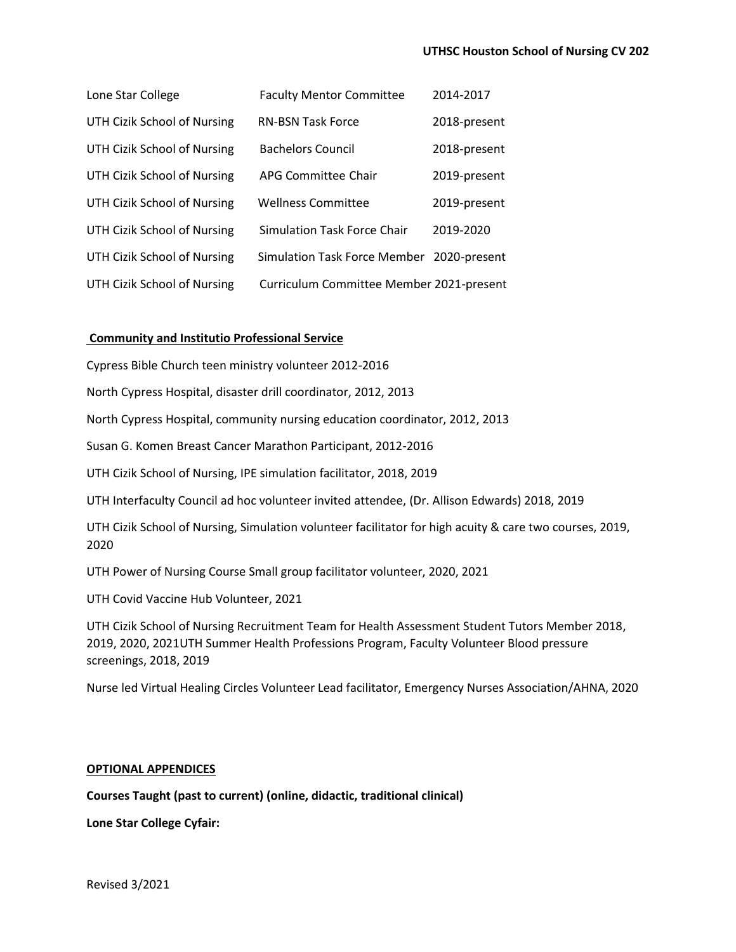| Lone Star College           | <b>Faculty Mentor Committee</b>           | 2014-2017    |
|-----------------------------|-------------------------------------------|--------------|
| UTH Cizik School of Nursing | <b>RN-BSN Task Force</b>                  | 2018-present |
| UTH Cizik School of Nursing | <b>Bachelors Council</b>                  | 2018-present |
| UTH Cizik School of Nursing | APG Committee Chair                       | 2019-present |
| UTH Cizik School of Nursing | <b>Wellness Committee</b>                 | 2019-present |
| UTH Cizik School of Nursing | Simulation Task Force Chair               | 2019-2020    |
| UTH Cizik School of Nursing | Simulation Task Force Member 2020-present |              |
| UTH Cizik School of Nursing | Curriculum Committee Member 2021-present  |              |

### **Community and Institutio Professional Service**

Cypress Bible Church teen ministry volunteer 2012-2016

North Cypress Hospital, disaster drill coordinator, 2012, 2013

North Cypress Hospital, community nursing education coordinator, 2012, 2013

Susan G. Komen Breast Cancer Marathon Participant, 2012-2016

UTH Cizik School of Nursing, IPE simulation facilitator, 2018, 2019

UTH Interfaculty Council ad hoc volunteer invited attendee, (Dr. Allison Edwards) 2018, 2019

UTH Cizik School of Nursing, Simulation volunteer facilitator for high acuity & care two courses, 2019, 2020

UTH Power of Nursing Course Small group facilitator volunteer, 2020, 2021

UTH Covid Vaccine Hub Volunteer, 2021

UTH Cizik School of Nursing Recruitment Team for Health Assessment Student Tutors Member 2018, 2019, 2020, 2021UTH Summer Health Professions Program, Faculty Volunteer Blood pressure screenings, 2018, 2019

Nurse led Virtual Healing Circles Volunteer Lead facilitator, Emergency Nurses Association/AHNA, 2020

#### **OPTIONAL APPENDICES**

**Courses Taught (past to current) (online, didactic, traditional clinical)**

**Lone Star College Cyfair:**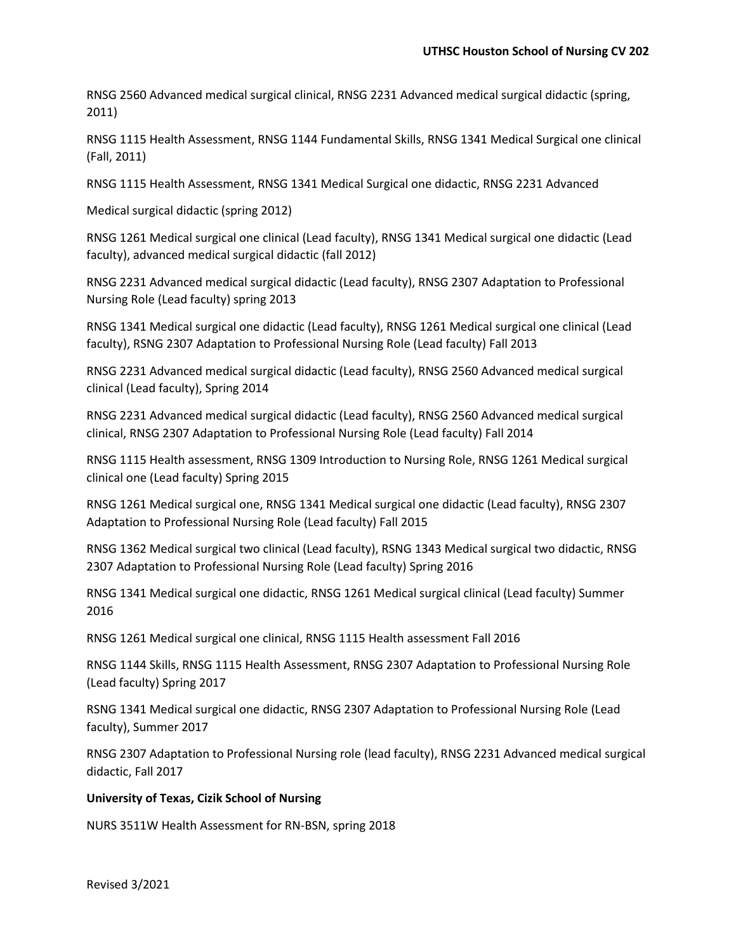RNSG 2560 Advanced medical surgical clinical, RNSG 2231 Advanced medical surgical didactic (spring, 2011)

RNSG 1115 Health Assessment, RNSG 1144 Fundamental Skills, RNSG 1341 Medical Surgical one clinical (Fall, 2011)

RNSG 1115 Health Assessment, RNSG 1341 Medical Surgical one didactic, RNSG 2231 Advanced

Medical surgical didactic (spring 2012)

RNSG 1261 Medical surgical one clinical (Lead faculty), RNSG 1341 Medical surgical one didactic (Lead faculty), advanced medical surgical didactic (fall 2012)

RNSG 2231 Advanced medical surgical didactic (Lead faculty), RNSG 2307 Adaptation to Professional Nursing Role (Lead faculty) spring 2013

RNSG 1341 Medical surgical one didactic (Lead faculty), RNSG 1261 Medical surgical one clinical (Lead faculty), RSNG 2307 Adaptation to Professional Nursing Role (Lead faculty) Fall 2013

RNSG 2231 Advanced medical surgical didactic (Lead faculty), RNSG 2560 Advanced medical surgical clinical (Lead faculty), Spring 2014

RNSG 2231 Advanced medical surgical didactic (Lead faculty), RNSG 2560 Advanced medical surgical clinical, RNSG 2307 Adaptation to Professional Nursing Role (Lead faculty) Fall 2014

RNSG 1115 Health assessment, RNSG 1309 Introduction to Nursing Role, RNSG 1261 Medical surgical clinical one (Lead faculty) Spring 2015

RNSG 1261 Medical surgical one, RNSG 1341 Medical surgical one didactic (Lead faculty), RNSG 2307 Adaptation to Professional Nursing Role (Lead faculty) Fall 2015

RNSG 1362 Medical surgical two clinical (Lead faculty), RSNG 1343 Medical surgical two didactic, RNSG 2307 Adaptation to Professional Nursing Role (Lead faculty) Spring 2016

RNSG 1341 Medical surgical one didactic, RNSG 1261 Medical surgical clinical (Lead faculty) Summer 2016

RNSG 1261 Medical surgical one clinical, RNSG 1115 Health assessment Fall 2016

RNSG 1144 Skills, RNSG 1115 Health Assessment, RNSG 2307 Adaptation to Professional Nursing Role (Lead faculty) Spring 2017

RSNG 1341 Medical surgical one didactic, RNSG 2307 Adaptation to Professional Nursing Role (Lead faculty), Summer 2017

RNSG 2307 Adaptation to Professional Nursing role (lead faculty), RNSG 2231 Advanced medical surgical didactic, Fall 2017

#### **University of Texas, Cizik School of Nursing**

NURS 3511W Health Assessment for RN-BSN, spring 2018